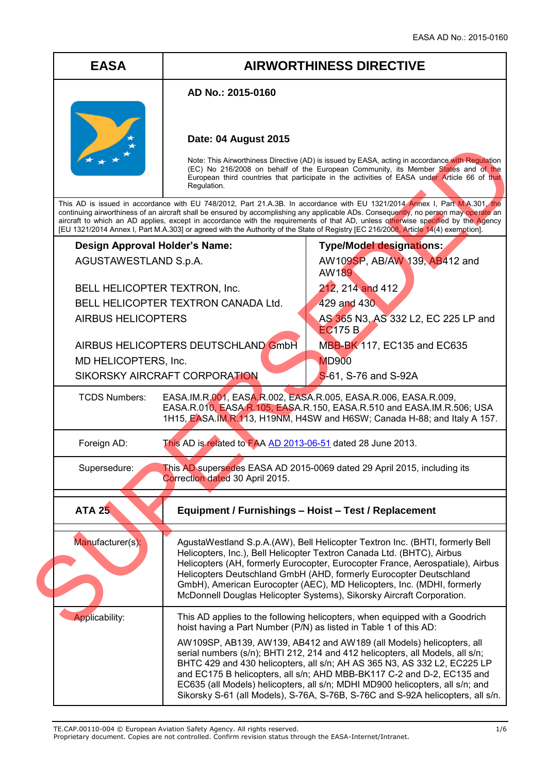## **EASA AIRWORTHINESS DIRECTIVE**

## **AD No.: 2015-0160**

# **Date: 04 August 2015**

|                                      | Regulation.                                                 | Note: This Airworthiness Directive (AD) is issued by EASA, acting in accordance with Regulation<br>(EC) No 216/2008 on behalf of the European Community, its Member States and of the<br>European third countries that participate in the activities of EASA under Article 66 of that                                                                                                                                                                                                                                                        |
|--------------------------------------|-------------------------------------------------------------|----------------------------------------------------------------------------------------------------------------------------------------------------------------------------------------------------------------------------------------------------------------------------------------------------------------------------------------------------------------------------------------------------------------------------------------------------------------------------------------------------------------------------------------------|
|                                      |                                                             | This AD is issued in accordance with EU 748/2012, Part 21.A.3B. In accordance with EU 1321/2014 Annex I, Part M.A.301, the<br>continuing airworthiness of an aircraft shall be ensured by accomplishing any applicable ADs. Consequently, no person may operate an<br>aircraft to which an AD applies, except in accordance with the requirements of that AD, unless otherwise specified by the Agency<br>[EU 1321/2014 Annex I, Part M.A.303] or agreed with the Authority of the State of Registry [EC 216/2008, Article 14(4) exemption]. |
| Design Approval Holder's Name:       |                                                             | Type/Model designations:                                                                                                                                                                                                                                                                                                                                                                                                                                                                                                                     |
| AGUSTAWESTLAND S.p.A.                |                                                             | AW109SP, AB/AW 139, AB412 and<br>AW189                                                                                                                                                                                                                                                                                                                                                                                                                                                                                                       |
| BELL HELICOPTER TEXTRON, Inc.        |                                                             | 212, 214 and 412                                                                                                                                                                                                                                                                                                                                                                                                                                                                                                                             |
| BELL HELICOPTER TEXTRON CANADA Ltd.  |                                                             | 429 and 430                                                                                                                                                                                                                                                                                                                                                                                                                                                                                                                                  |
| <b>AIRBUS HELICOPTERS</b>            |                                                             | AS 365 N3, AS 332 L2, EC 225 LP and<br><b>EC175 B</b>                                                                                                                                                                                                                                                                                                                                                                                                                                                                                        |
|                                      | AIRBUS HELICOPTERS DEUTSCHLAND GmbH                         | MBB-BK 117, EC135 and EC635                                                                                                                                                                                                                                                                                                                                                                                                                                                                                                                  |
| <b>MD900</b><br>MD HELICOPTERS, Inc. |                                                             |                                                                                                                                                                                                                                                                                                                                                                                                                                                                                                                                              |
|                                      | SIKORSKY AIRCRAFT CORPORATION                               | S-61, S-76 and S-92A                                                                                                                                                                                                                                                                                                                                                                                                                                                                                                                         |
| <b>TCDS Numbers:</b>                 |                                                             | EASA.IM.R.001, EASA.R.002, EASA.R.005, EASA.R.006, EASA.R.009,<br>EASA.R.010, EASA.R.105, EASA.R.150, EASA.R.510 and EASA.IM.R.506; USA<br>1H15, EASA.IM.R.113, H19NM, H4SW and H6SW; Canada H-88; and Italy A 157.                                                                                                                                                                                                                                                                                                                          |
| Foreign AD:                          | This AD is related to FAA AD 2013-06-51 dated 28 June 2013. |                                                                                                                                                                                                                                                                                                                                                                                                                                                                                                                                              |
| Supersedure:                         | Correction dated 30 April 2015.                             | This AD supersedes EASA AD 2015-0069 dated 29 April 2015, including its                                                                                                                                                                                                                                                                                                                                                                                                                                                                      |
| <b>ATA 25</b>                        |                                                             | Equipment / Furnishings - Hoist - Test / Replacement                                                                                                                                                                                                                                                                                                                                                                                                                                                                                         |
| Manufacturer(s):                     |                                                             | AgustaWestland S.p.A.(AW), Bell Helicopter Textron Inc. (BHTI, formerly Bell<br>Helicopters, Inc.), Bell Helicopter Textron Canada Ltd. (BHTC), Airbus<br>Helicopters (AH, formerly Eurocopter, Eurocopter France, Aerospatiale), Airbus<br>Helicopters Deutschland GmbH (AHD, formerly Eurocopter Deutschland<br>GmbH), American Eurocopter (AEC), MD Helicopters, Inc. (MDHI, formerly<br>McDonnell Douglas Helicopter Systems), Sikorsky Aircraft Corporation.                                                                            |
| Applicability:                       |                                                             | This AD applies to the following helicopters, when equipped with a Goodrich<br>hoist having a Part Number $(P/N)$ as listed in Table 1 of this $ADT$                                                                                                                                                                                                                                                                                                                                                                                         |

EC635 (all Models) helicopters, all s/n; MDHI MD900 helicopters, all s/n; and Sikorsky S-61 (all Models), S-76A, S-76B, S-76C and S-92A helicopters, all s/n.

Manufacturer(s): | AgustaWestland S.p.A.(AW), Bell Helicopter Textron Inc. (BHTI, formerly Bell Helicopters, Inc.), Bell Helicopter Textron Canada Ltd. (BHTC), Airbus Helicopters (AH, formerly Eurocopter, Eurocopter France, Aerospatiale), Airbus Helicopters Deutschland GmbH (AHD, formerly Eurocopter Deutschland GmbH), American Eurocopter (AEC), MD Helicopters, Inc. (MDHI, formerly McDonnell Douglas Helicopter Systems), Sikorsky Aircraft Corporation. Applicability: This AD applies to the following helicopters, when equipped with a Goodrich hoist having a Part Number (P/N) as listed in Table 1 of this AD: AW109SP, AB139, AW139, AB412 and AW189 (all Models) helicopters, all serial numbers (s/n); BHTI 212, 214 and 412 helicopters, all Models, all s/n; BHTC 429 and 430 helicopters, all s/n; AH AS 365 N3, AS 332 L2, EC225 LP and EC175 B helicopters, all s/n; AHD MBB-BK117 C-2 and D-2, EC135 and

TE.CAP.00110-004 © European Aviation Safety Agency. All rights reserved. 15 11 16

Proprietary document. Copies are not controlled. Confirm revision status through the EASA-Internet/Intranet.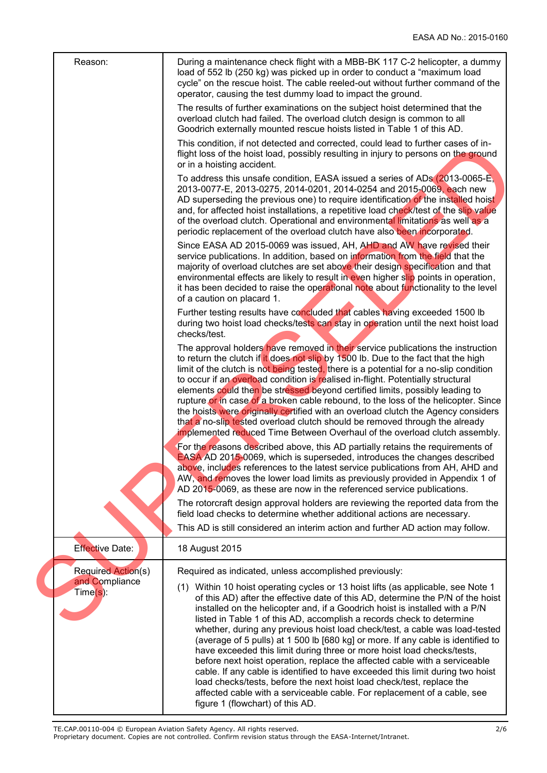| Reason:                    | During a maintenance check flight with a MBB-BK 117 C-2 helicopter, a dummy<br>load of 552 lb (250 kg) was picked up in order to conduct a "maximum load<br>cycle" on the rescue hoist. The cable reeled-out without further command of the<br>operator, causing the test dummy load to impact the ground.                                                                                                                                                                                                                                                                                                                                                                                                                                                                |
|----------------------------|---------------------------------------------------------------------------------------------------------------------------------------------------------------------------------------------------------------------------------------------------------------------------------------------------------------------------------------------------------------------------------------------------------------------------------------------------------------------------------------------------------------------------------------------------------------------------------------------------------------------------------------------------------------------------------------------------------------------------------------------------------------------------|
|                            | The results of further examinations on the subject hoist determined that the<br>overload clutch had failed. The overload clutch design is common to all<br>Goodrich externally mounted rescue hoists listed in Table 1 of this AD.                                                                                                                                                                                                                                                                                                                                                                                                                                                                                                                                        |
|                            | This condition, if not detected and corrected, could lead to further cases of in-<br>flight loss of the hoist load, possibly resulting in injury to persons on the ground<br>or in a hoisting accident.                                                                                                                                                                                                                                                                                                                                                                                                                                                                                                                                                                   |
|                            | To address this unsafe condition, EASA issued a series of ADs (2013-0065-E,<br>2013-0077-E, 2013-0275, 2014-0201, 2014-0254 and 2015-0069, each new<br>AD superseding the previous one) to require identification of the installed hoist<br>and, for affected hoist installations, a repetitive load check/test of the slip value<br>of the overload clutch. Operational and environmental limitations as well as a<br>periodic replacement of the overload clutch have also been incorporated.                                                                                                                                                                                                                                                                           |
|                            | Since EASA AD 2015-0069 was issued, AH, AHD and AW have revised their<br>service publications. In addition, based on information from the field that the<br>majority of overload clutches are set above their design specification and that<br>environmental effects are likely to result in even higher slip points in operation,<br>it has been decided to raise the operational note about functionality to the level<br>of a caution on placard 1.                                                                                                                                                                                                                                                                                                                    |
|                            | Further testing results have concluded that cables having exceeded 1500 lb<br>during two hoist load checks/tests can stay in operation until the next hoist load<br>checks/test.                                                                                                                                                                                                                                                                                                                                                                                                                                                                                                                                                                                          |
|                            | The approval holders have removed in their service publications the instruction<br>to return the clutch if it does not slip by 1500 lb. Due to the fact that the high<br>limit of the clutch is not being tested, there is a potential for a no-slip condition<br>to occur if an overload condition is realised in-flight. Potentially structural<br>elements could then be stressed beyond certified limits, possibly leading to<br>rupture or in case of a broken cable rebound, to the loss of the helicopter. Since<br>the hoists were originally certified with an overload clutch the Agency considers<br>that a no-slip tested overload clutch should be removed through the already<br>implemented reduced Time Between Overhaul of the overload clutch assembly. |
|                            | For the reasons described above, this AD partially retains the requirements of<br><b>EASA AD 2015-0069, which is superseded, introduces the changes described</b><br>above, includes references to the latest service publications from AH, AHD and<br>AW, and removes the lower load limits as previously provided in Appendix 1 of<br>AD 2015-0069, as these are now in the referenced service publications.                                                                                                                                                                                                                                                                                                                                                            |
|                            | The rotorcraft design approval holders are reviewing the reported data from the<br>field load checks to determine whether additional actions are necessary.                                                                                                                                                                                                                                                                                                                                                                                                                                                                                                                                                                                                               |
|                            | This AD is still considered an interim action and further AD action may follow.                                                                                                                                                                                                                                                                                                                                                                                                                                                                                                                                                                                                                                                                                           |
| Effective Date:            | 18 August 2015                                                                                                                                                                                                                                                                                                                                                                                                                                                                                                                                                                                                                                                                                                                                                            |
| Required Action(s)         | Required as indicated, unless accomplished previously:                                                                                                                                                                                                                                                                                                                                                                                                                                                                                                                                                                                                                                                                                                                    |
| and Compliance<br>Time(s): | (1) Within 10 hoist operating cycles or 13 hoist lifts (as applicable, see Note 1<br>of this AD) after the effective date of this AD, determine the P/N of the hoist<br>installed on the helicopter and, if a Goodrich hoist is installed with a P/N<br>listed in Table 1 of this AD, accomplish a records check to determine<br>whether, during any previous hoist load check/test, a cable was load-tested<br>(average of 5 pulls) at 1 500 lb [680 kg] or more. If any cable is identified to<br>have exceeded this limit during three or more hoist load checks/tests,<br>before next hoist operation, replace the affected cable with a serviceable<br>cable. If any cable is identified to have exceeded this limit during two hoist                                |
|                            | load checks/tests, before the next hoist load check/test, replace the<br>affected cable with a serviceable cable. For replacement of a cable, see<br>figure 1 (flowchart) of this AD.                                                                                                                                                                                                                                                                                                                                                                                                                                                                                                                                                                                     |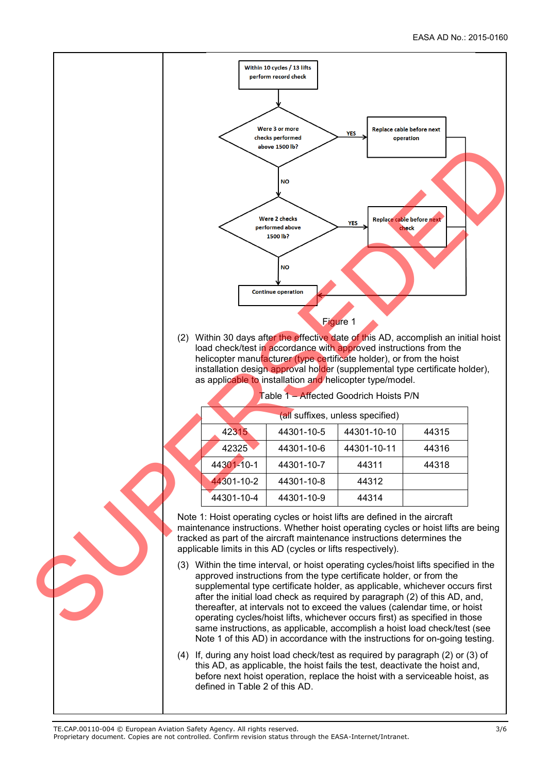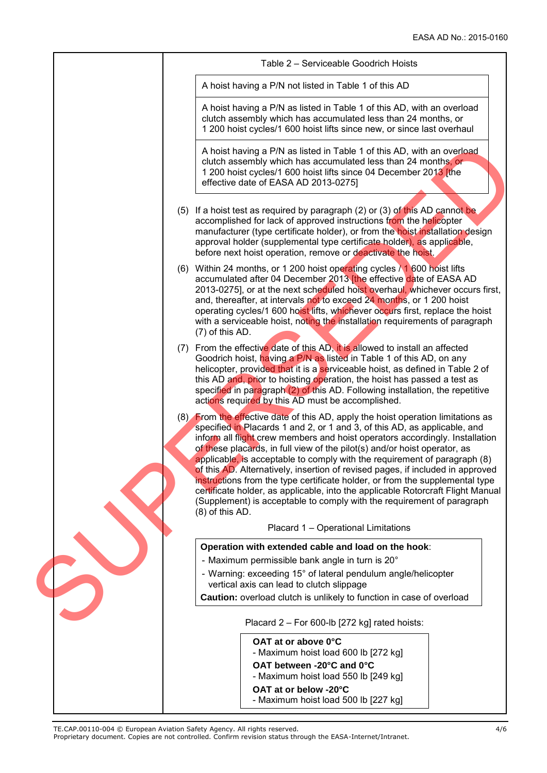

TE.CAP.00110-004 © European Aviation Safety Agency. All rights reserved. 4/6

Proprietary document. Copies are not controlled. Confirm revision status through the EASA-Internet/Intranet.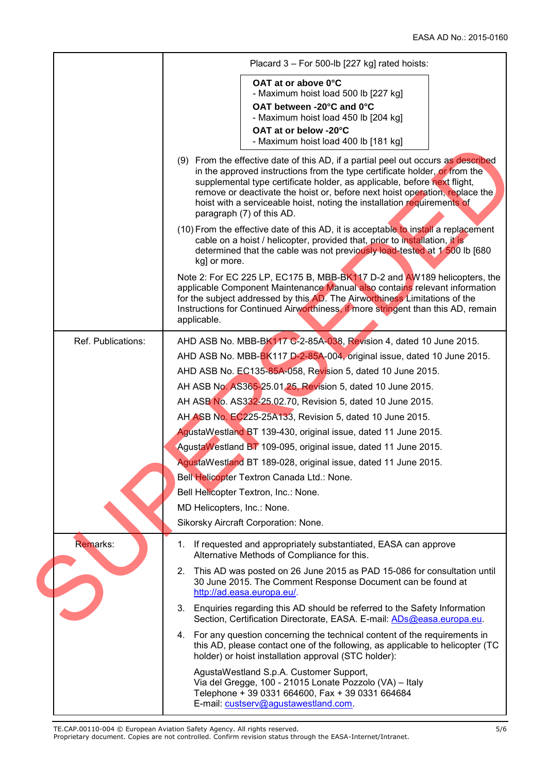|                    | Placard 3 - For 500-lb [227 kg] rated hoists:                                                                                                                                                                                                                                                                                                                                                                                      |
|--------------------|------------------------------------------------------------------------------------------------------------------------------------------------------------------------------------------------------------------------------------------------------------------------------------------------------------------------------------------------------------------------------------------------------------------------------------|
|                    | OAT at or above 0°C                                                                                                                                                                                                                                                                                                                                                                                                                |
|                    | - Maximum hoist load 500 lb [227 kg]<br>OAT between -20°C and 0°C                                                                                                                                                                                                                                                                                                                                                                  |
|                    | - Maximum hoist load 450 lb [204 kg]                                                                                                                                                                                                                                                                                                                                                                                               |
|                    | OAT at or below -20°C                                                                                                                                                                                                                                                                                                                                                                                                              |
|                    | - Maximum hoist load 400 lb [181 kg]                                                                                                                                                                                                                                                                                                                                                                                               |
|                    | (9) From the effective date of this AD, if a partial peel out occurs as described<br>in the approved instructions from the type certificate holder, or from the<br>supplemental type certificate holder, as applicable, before next flight,<br>remove or deactivate the hoist or, before next hoist operation, replace the<br>hoist with a serviceable hoist, noting the installation requirements of<br>paragraph (7) of this AD. |
|                    | (10) From the effective date of this AD, it is acceptable to install a replacement<br>cable on a hoist / helicopter, provided that, prior to installation, it is<br>determined that the cable was not previously load-tested at 1 500 lb [680<br>kg] or more.                                                                                                                                                                      |
|                    | Note 2: For EC 225 LP, EC175 B, MBB-BK117 D-2 and AW189 helicopters, the<br>applicable Component Maintenance Manual also contains relevant information<br>for the subject addressed by this AD. The Airworthiness Limitations of the<br>Instructions for Continued Airworthiness, if more stringent than this AD, remain<br>applicable.                                                                                            |
| Ref. Publications: | AHD ASB No. MBB-BK117 G-2-85A-038, Revision 4, dated 10 June 2015.                                                                                                                                                                                                                                                                                                                                                                 |
|                    | AHD ASB No. MBB-BK117 D-2-85A-004, original issue, dated 10 June 2015.                                                                                                                                                                                                                                                                                                                                                             |
|                    | AHD ASB No. EC135-85A-058, Revision 5, dated 10 June 2015.                                                                                                                                                                                                                                                                                                                                                                         |
|                    | AH ASB No. AS365-25.01.25, Revision 5, dated 10 June 2015.                                                                                                                                                                                                                                                                                                                                                                         |
|                    | AH ASB No. AS332-25.02.70, Revision 5, dated 10 June 2015.                                                                                                                                                                                                                                                                                                                                                                         |
|                    | AH ASB No. EC225-25A133, Revision 5, dated 10 June 2015.                                                                                                                                                                                                                                                                                                                                                                           |
|                    | AgustaWestland BT 139-430, original issue, dated 11 June 2015.                                                                                                                                                                                                                                                                                                                                                                     |
|                    | AgustaWestland BT 109-095, original issue, dated 11 June 2015.                                                                                                                                                                                                                                                                                                                                                                     |
|                    | AgustaWestland BT 189-028, original issue, dated 11 June 2015.                                                                                                                                                                                                                                                                                                                                                                     |
|                    | Bell Helicopter Textron Canada Ltd.: None.                                                                                                                                                                                                                                                                                                                                                                                         |
|                    | Bell Helicopter Textron, Inc.: None.                                                                                                                                                                                                                                                                                                                                                                                               |
|                    | MD Helicopters, Inc.: None.                                                                                                                                                                                                                                                                                                                                                                                                        |
|                    | Sikorsky Aircraft Corporation: None.                                                                                                                                                                                                                                                                                                                                                                                               |
| Remarks:           | 1. If requested and appropriately substantiated, EASA can approve<br>Alternative Methods of Compliance for this.                                                                                                                                                                                                                                                                                                                   |
|                    | 2. This AD was posted on 26 June 2015 as PAD 15-086 for consultation until<br>30 June 2015. The Comment Response Document can be found at<br>http://ad.easa.europa.eu/.                                                                                                                                                                                                                                                            |
|                    | Enquiries regarding this AD should be referred to the Safety Information<br>3.<br>Section, Certification Directorate, EASA. E-mail: ADs@easa.europa.eu.                                                                                                                                                                                                                                                                            |
|                    | 4. For any question concerning the technical content of the requirements in<br>this AD, please contact one of the following, as applicable to helicopter (TC<br>holder) or hoist installation approval (STC holder):                                                                                                                                                                                                               |
|                    | AgustaWestland S.p.A. Customer Support,<br>Via del Gregge, 100 - 21015 Lonate Pozzolo (VA) - Italy<br>Telephone + 39 0331 664600, Fax + 39 0331 664684<br>E-mail: custserv@agustawestland.com.                                                                                                                                                                                                                                     |